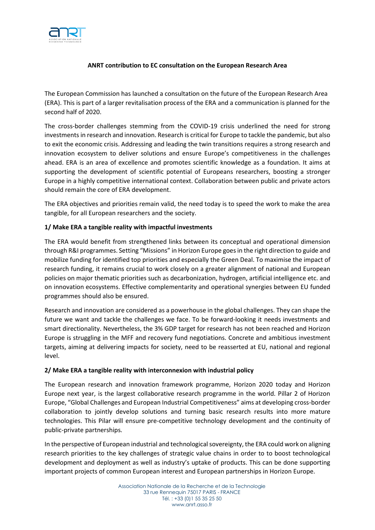

## **ANRT contribution to EC consultation on the European Research Area**

The European Commission has launched a consultation on the future of the European Research Area (ERA). This is part of a larger revitalisation process of the ERA and a communication is planned for the second half of 2020.

The cross-border challenges stemming from the COVID-19 crisis underlined the need for strong investments in research and innovation. Research is critical for Europe to tackle the pandemic, but also to exit the economic crisis. Addressing and leading the twin transitions requires a strong research and innovation ecosystem to deliver solutions and ensure Europe's competitiveness in the challenges ahead. ERA is an area of excellence and promotes scientific knowledge as a foundation. It aims at supporting the development of scientific potential of Europeans researchers, boosting a stronger Europe in a highly competitive international context. Collaboration between public and private actors should remain the core of ERA development.

The ERA objectives and priorities remain valid, the need today is to speed the work to make the area tangible, for all European researchers and the society.

## **1/ Make ERA a tangible reality with impactful investments**

The ERA would benefit from strengthened links between its conceptual and operational dimension through R&I programmes. Setting "Missions" in Horizon Europe goes in the right direction to guide and mobilize funding for identified top priorities and especially the Green Deal. To maximise the impact of research funding, it remains crucial to work closely on a greater alignment of national and European policies on major thematic priorities such as decarbonization, hydrogen, artificial intelligence etc. and on innovation ecosystems. Effective complementarity and operational synergies between EU funded programmes should also be ensured.

Research and innovation are considered as a powerhouse in the global challenges. They can shape the future we want and tackle the challenges we face. To be forward-looking it needs investments and smart directionality. Nevertheless, the 3% GDP target for research has not been reached and Horizon Europe is struggling in the MFF and recovery fund negotiations. Concrete and ambitious investment targets, aiming at delivering impacts for society, need to be reasserted at EU, national and regional level.

#### **2/ Make ERA a tangible reality with interconnexion with industrial policy**

The European research and innovation framework programme, Horizon 2020 today and Horizon Europe next year, is the largest collaborative research programme in the world. Pillar 2 of Horizon Europe, "Global Challenges and European Industrial Competitiveness" aims at developing cross-border collaboration to jointly develop solutions and turning basic research results into more mature technologies. This Pilar will ensure pre-competitive technology development and the continuity of public-private partnerships.

In the perspective of European industrial and technologicalsovereignty, the ERA could work on aligning research priorities to the key challenges of strategic value chains in order to to boost technological development and deployment as well as industry's uptake of products. This can be done supporting important projects of common European interest and European partnerships in Horizon Europe.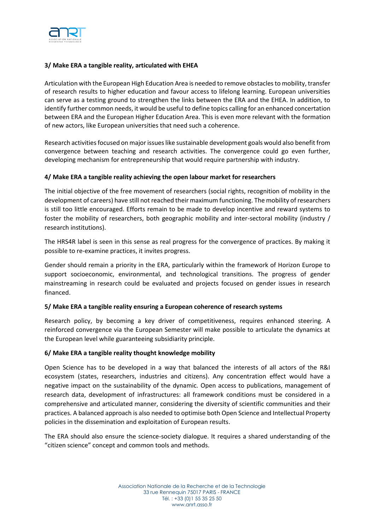

## **3/ Make ERA a tangible reality, articulated with EHEA**

Articulation with the European High Education Area is needed to remove obstacles to mobility, transfer of research results to higher education and favour access to lifelong learning. European universities can serve as a testing ground to strengthen the links between the ERA and the EHEA. In addition, to identify further common needs, it would be useful to define topics calling for an enhanced concertation between ERA and the European Higher Education Area. This is even more relevant with the formation of new actors, like European universities that need such a coherence.

Research activities focused on major issues like sustainable development goals would also benefit from convergence between teaching and research activities. The convergence could go even further, developing mechanism for entrepreneurship that would require partnership with industry.

#### **4/ Make ERA a tangible reality achieving the open labour market for researchers**

The initial objective of the free movement of researchers (social rights, recognition of mobility in the development of careers) have still not reached their maximum functioning. The mobility of researchers is still too little encouraged. Efforts remain to be made to develop incentive and reward systems to foster the mobility of researchers, both geographic mobility and inter-sectoral mobility (industry / research institutions).

The HRS4R label is seen in this sense as real progress for the convergence of practices. By making it possible to re-examine practices, it invites progress.

Gender should remain a priority in the ERA, particularly within the framework of Horizon Europe to support socioeconomic, environmental, and technological transitions. The progress of gender mainstreaming in research could be evaluated and projects focused on gender issues in research financed.

#### **5/ Make ERA a tangible reality ensuring a European coherence of research systems**

Research policy, by becoming a key driver of competitiveness, requires enhanced steering. A reinforced convergence via the European Semester will make possible to articulate the dynamics at the European level while guaranteeing subsidiarity principle.

#### **6/ Make ERA a tangible reality thought knowledge mobility**

Open Science has to be developed in a way that balanced the interests of all actors of the R&I ecosystem (states, researchers, industries and citizens). Any concentration effect would have a negative impact on the sustainability of the dynamic. Open access to publications, management of research data, development of infrastructures: all framework conditions must be considered in a comprehensive and articulated manner, considering the diversity of scientific communities and their practices. A balanced approach is also needed to optimise both Open Science and Intellectual Property policies in the dissemination and exploitation of European results.

The ERA should also ensure the science-society dialogue. It requires a shared understanding of the "citizen science" concept and common tools and methods.